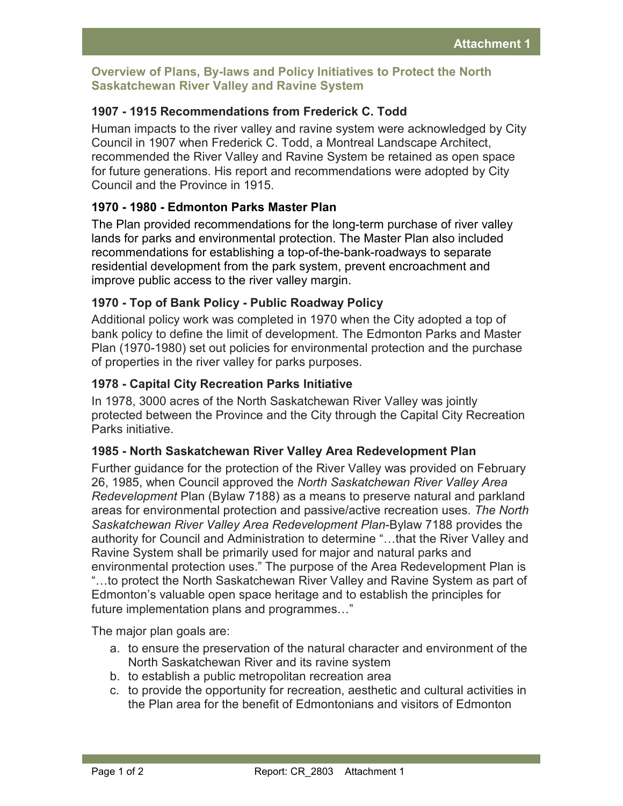### **Overview of Plans, By-laws and Policy Initiatives to Protect the North Saskatchewan River Valley and Ravine System**

# **1907 - 1915 Recommendations from Frederick C. Todd**

Human impacts to the river valley and ravine system were acknowledged by City Council in 1907 when Frederick C. Todd, a Montreal Landscape Architect, recommended the River Valley and Ravine System be retained as open space for future generations. His report and recommendations were adopted by City Council and the Province in 1915.

# **1970 - 1980 - Edmonton Parks Master Plan**

The Plan provided recommendations for the long-term purchase of river valley lands for parks and environmental protection. The Master Plan also included recommendations for establishing a top-of-the-bank-roadways to separate residential development from the park system, prevent encroachment and improve public access to the river valley margin.

# **1970 - Top of Bank Policy - Public Roadway Policy**

Additional policy work was completed in 1970 when the City adopted a top of bank policy to define the limit of development. The Edmonton Parks and Master Plan (1970-1980) set out policies for environmental protection and the purchase of properties in the river valley for parks purposes.

#### **1978 - Capital City Recreation Parks Initiative**

In 1978, 3000 acres of the North Saskatchewan River Valley was jointly protected between the Province and the City through the Capital City Recreation Parks initiative.

#### **1985 - North Saskatchewan River Valley Area Redevelopment Plan**

Further guidance for the protection of the River Valley was provided on February 26, 1985, when Council approved the *North Saskatchewan River Valley Area Redevelopment* Plan (Bylaw 7188) as a means to preserve natural and parkland areas for environmental protection and passive/active recreation uses. *The North Saskatchewan River Valley Area Redevelopment Plan*-Bylaw 7188 provides the authority for Council and Administration to determine "...that the River Valley and Ravine System shall be primarily used for major and natural parks and environmental protection uses." The purpose of the Area Redevelopment Plan is "...to protect the North Saskatchewan River Valley and Ravine System as part of Edmonton's valuable open space heritage and to establish the principles for future implementation plans and programmes..."

The major plan goals are:

- a. to ensure the preservation of the natural character and environment of the North Saskatchewan River and its ravine system
- b. to establish a public metropolitan recreation area
- c. to provide the opportunity for recreation, aesthetic and cultural activities in the Plan area for the benefit of Edmontonians and visitors of Edmonton